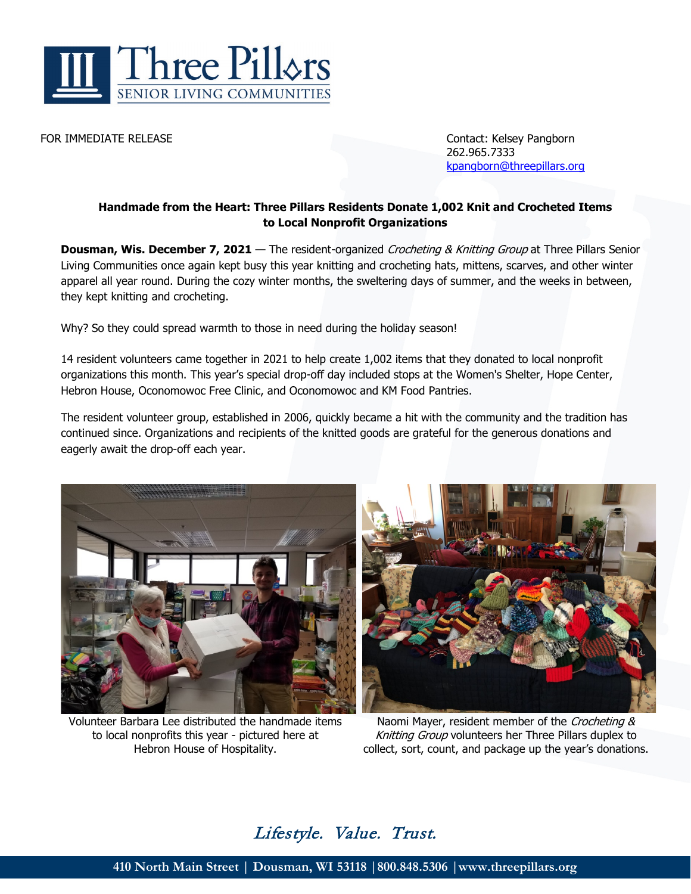

FOR IMMEDIATE RELEASE Contact: Kelsey Pangborn 262.965.7333 [kpangborn@threepillars.org](mailto:kpangborn@threepillars.org)

## **Handmade from the Heart: Three Pillars Residents Donate 1,002 Knit and Crocheted Items to Local Nonprofit Organizations**

**Dousman, Wis. December 7, 2021** — The resident-organized *Crocheting & Knitting Group* at Three Pillars Senior Living Communities once again kept busy this year knitting and crocheting hats, mittens, scarves, and other winter apparel all year round. During the cozy winter months, the sweltering days of summer, and the weeks in between, they kept knitting and crocheting.

Why? So they could spread warmth to those in need during the holiday season!

14 resident volunteers came together in 2021 to help create 1,002 items that they donated to local nonprofit organizations this month. This year's special drop-off day included stops at the Women's Shelter, Hope Center, Hebron House, Oconomowoc Free Clinic, and Oconomowoc and KM Food Pantries.

The resident volunteer group, established in 2006, quickly became a hit with the community and the tradition has continued since. Organizations and recipients of the knitted goods are grateful for the generous donations and eagerly await the drop-off each year.



Volunteer Barbara Lee distributed the handmade items to local nonprofits this year - pictured here at Hebron House of Hospitality.



Naomi Mayer, resident member of the Crocheting & Knitting Group volunteers her Three Pillars duplex to collect, sort, count, and package up the year's donations.

## Lifestyle. Value. Trust.